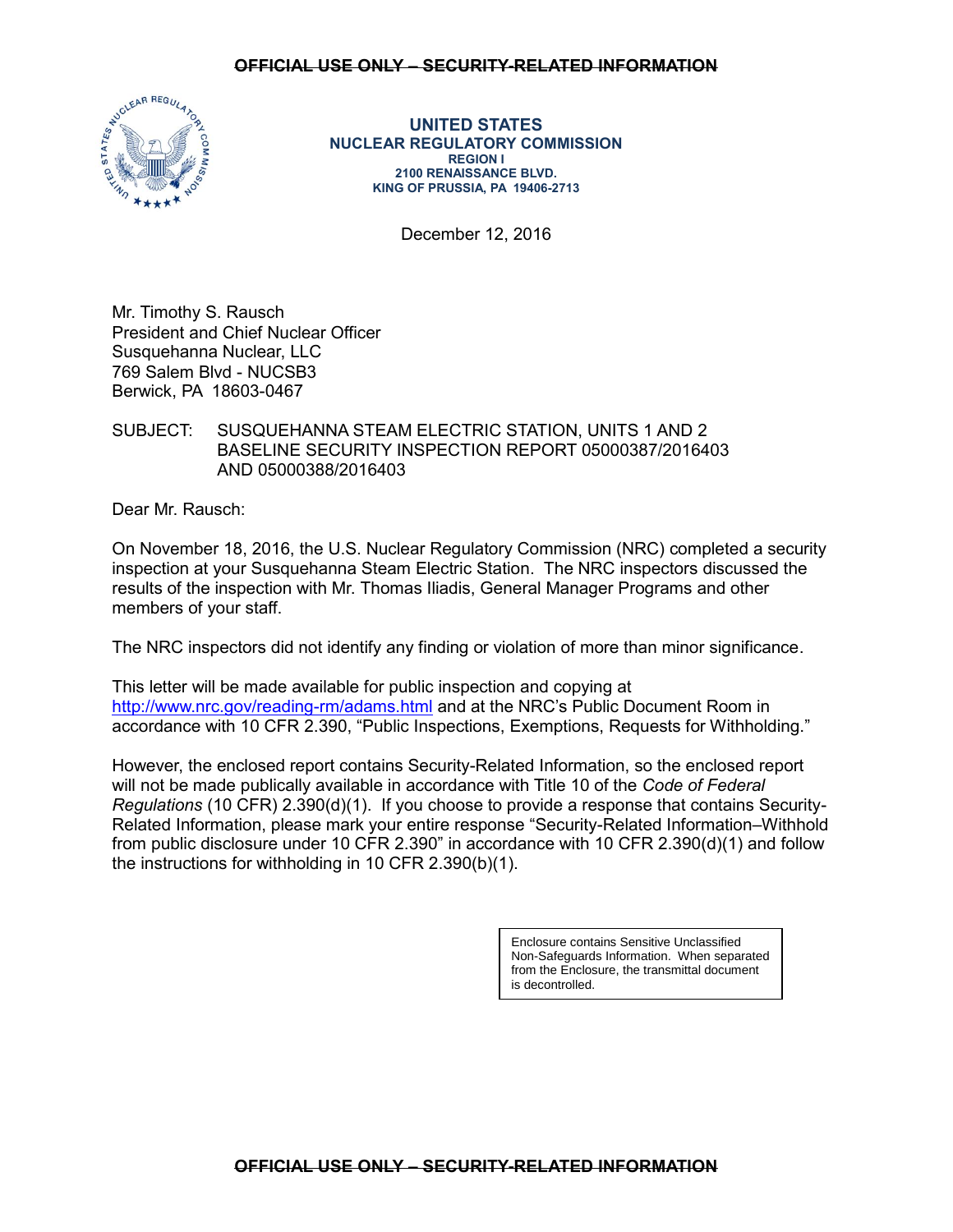### **OFFICIAL USE ONLY – SECURITY-RELATED INFORMATION**



**UNITED STATES NUCLEAR REGULATORY COMMISSION REGION I 2100 RENAISSANCE BLVD. KING OF PRUSSIA, PA 19406-2713**

December 12, 2016

Mr. Timothy S. Rausch President and Chief Nuclear Officer Susquehanna Nuclear, LLC 769 Salem Blvd - NUCSB3 Berwick, PA 18603-0467

# SUBJECT: SUSQUEHANNA STEAM ELECTRIC STATION, UNITS 1 AND 2 BASELINE SECURITY INSPECTION REPORT 05000387/2016403 AND 05000388/2016403

Dear Mr. Rausch:

On November 18, 2016, the U.S. Nuclear Regulatory Commission (NRC) completed a security inspection at your Susquehanna Steam Electric Station. The NRC inspectors discussed the results of the inspection with Mr. Thomas Iliadis, General Manager Programs and other members of your staff.

The NRC inspectors did not identify any finding or violation of more than minor significance.

This letter will be made available for public inspection and copying at <http://www.nrc.gov/reading-rm/adams.html> and at the NRC's Public Document Room in accordance with 10 CFR 2.390, "Public Inspections, Exemptions, Requests for Withholding."

However, the enclosed report contains Security-Related Information, so the enclosed report will not be made publically available in accordance with Title 10 of the *Code of Federal Regulations* (10 CFR) 2.390(d)(1). If you choose to provide a response that contains Security-Related Information, please mark your entire response "Security-Related Information–Withhold from public disclosure under 10 CFR 2.390" in accordance with 10 CFR 2.390(d)(1) and follow the instructions for withholding in 10 CFR 2.390(b)(1).

> Enclosure contains Sensitive Unclassified Non-Safeguards Information. When separated from the Enclosure, the transmittal document is decontrolled.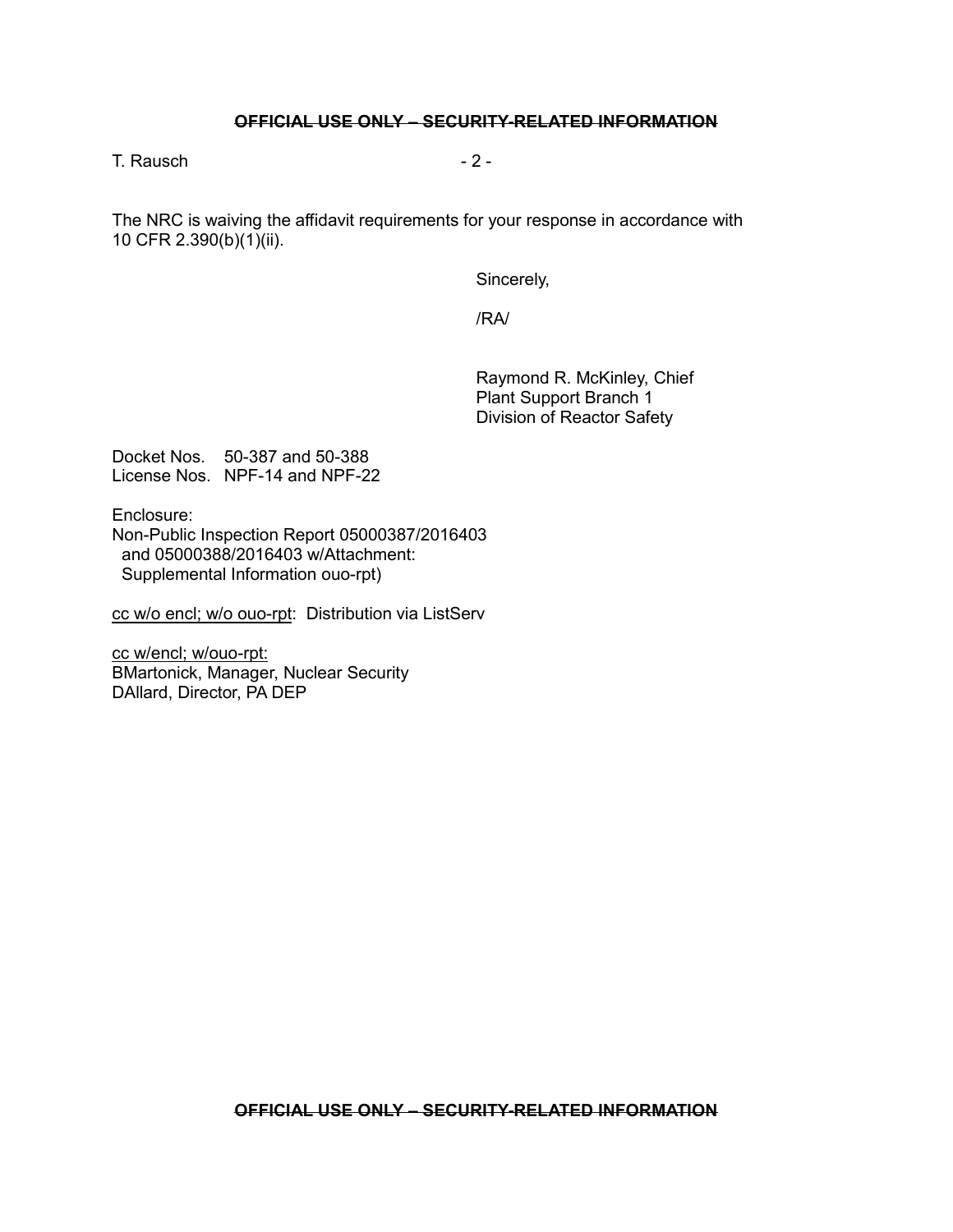### **OFFICIAL USE ONLY – SECURITY-RELATED INFORMATION**

 $T$ . Rausch  $-2$  -

The NRC is waiving the affidavit requirements for your response in accordance with 10 CFR 2.390(b)(1)(ii).

Sincerely,

/RA/

Raymond R. McKinley, Chief Plant Support Branch 1 Division of Reactor Safety

Docket Nos. 50-387 and 50-388 License Nos. NPF-14 and NPF-22

Enclosure: Non-Public Inspection Report 05000387/2016403 and 05000388/2016403 w/Attachment: Supplemental Information ouo-rpt)

cc w/o encl; w/o ouo-rpt: Distribution via ListServ

cc w/encl; w/ouo-rpt: BMartonick, Manager, Nuclear Security DAllard, Director, PA DEP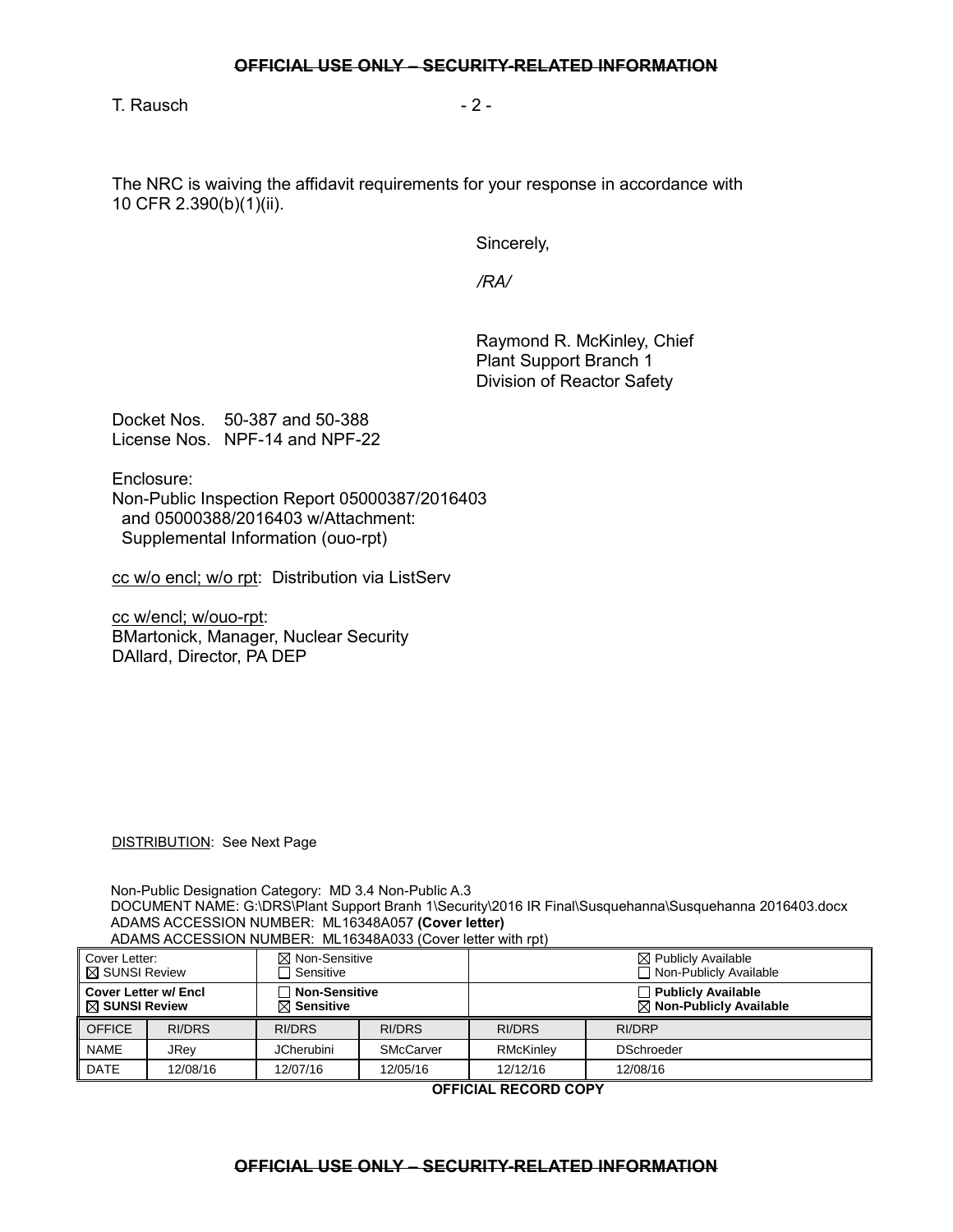$T.$  Rausch  $-2$  -

The NRC is waiving the affidavit requirements for your response in accordance with 10 CFR 2.390(b)(1)(ii).

Sincerely,

 */RA/*

Raymond R. McKinley, Chief Plant Support Branch 1 Division of Reactor Safety

Docket Nos. 50-387 and 50-388 License Nos. NPF-14 and NPF-22

Enclosure:

Non-Public Inspection Report 05000387/2016403 and 05000388/2016403 w/Attachment: Supplemental Information (ouo-rpt)

cc w/o encl; w/o rpt: Distribution via ListServ

cc w/encl; w/ouo-rpt: BMartonick, Manager, Nuclear Security DAllard, Director, PA DEP

DISTRIBUTION: See Next Page

Non-Public Designation Category: MD 3.4 Non-Public A.3 DOCUMENT NAME: G:\DRS\Plant Support Branh 1\Security\2016 IR Final\Susquehanna\Susquehanna 2016403.docx ADAMS ACCESSION NUMBER: ML16348A057 **(Cover letter)** ADAMS ACCESSION NUMBER: ML16348A033 (Cover letter with rpt)

| Cover Letter:<br><b>⊠ SUNSI Review</b>                  |               | $\boxtimes$ Non-Sensitive<br>$\Box$ Sensitive |                  | $\boxtimes$ Publicly Available<br>□ Non-Publicly Available      |                   |
|---------------------------------------------------------|---------------|-----------------------------------------------|------------------|-----------------------------------------------------------------|-------------------|
| <b>Cover Letter w/ Encl</b><br>$\boxtimes$ SUNSI Review |               | $\Box$ Non-Sensitive<br>$\boxtimes$ Sensitive |                  | $\Box$ Publicly Available<br>$\boxtimes$ Non-Publicly Available |                   |
| <b>OFFICE</b>                                           | <b>RI/DRS</b> | RI/DRS                                        | RI/DRS           | RI/DRS                                                          | RI/DRP            |
| <b>NAME</b>                                             | JRev          | <b>JCherubini</b>                             | <b>SMcCarver</b> | RMcKinlev                                                       | <b>DSchroeder</b> |
| <b>DATE</b>                                             | 12/08/16      | 12/07/16                                      | 12/05/16         | 12/12/16                                                        | 12/08/16          |

**OFFICIAL RECORD COPY**

### **OFFICIAL USE ONLY – SECURITY-RELATED INFORMATION**